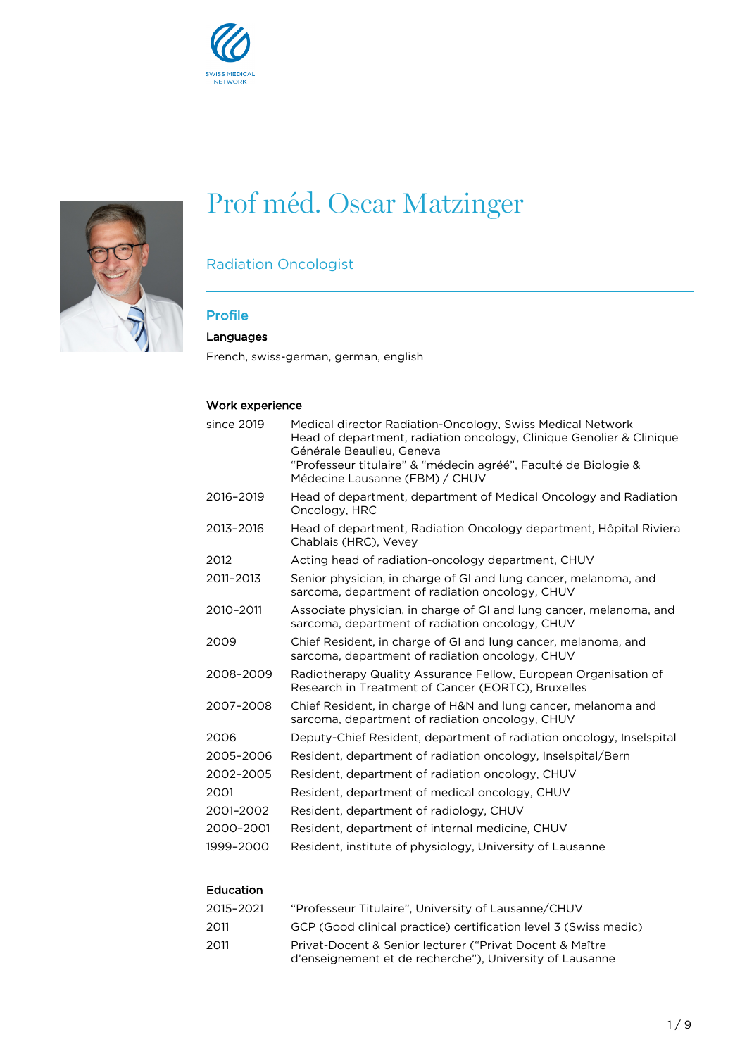



# Prof méd. Oscar Matzinger

# Radiation Oncologist

## Profile

## Languages

French, swiss-german, german, english

## Work experience

| since 2019 | Medical director Radiation-Oncology, Swiss Medical Network<br>Head of department, radiation oncology, Clinique Genolier & Clinique<br>Générale Beaulieu, Geneva<br>"Professeur titulaire" & "médecin agréé", Faculté de Biologie &<br>Médecine Lausanne (FBM) / CHUV |
|------------|----------------------------------------------------------------------------------------------------------------------------------------------------------------------------------------------------------------------------------------------------------------------|
| 2016-2019  | Head of department, department of Medical Oncology and Radiation<br>Oncology, HRC                                                                                                                                                                                    |
| 2013-2016  | Head of department, Radiation Oncology department, Hôpital Riviera<br>Chablais (HRC), Vevey                                                                                                                                                                          |
| 2012       | Acting head of radiation-oncology department, CHUV                                                                                                                                                                                                                   |
| 2011-2013  | Senior physician, in charge of GI and lung cancer, melanoma, and<br>sarcoma, department of radiation oncology, CHUV                                                                                                                                                  |
| 2010-2011  | Associate physician, in charge of GI and lung cancer, melanoma, and<br>sarcoma, department of radiation oncology, CHUV                                                                                                                                               |
| 2009       | Chief Resident, in charge of GI and lung cancer, melanoma, and<br>sarcoma, department of radiation oncology, CHUV                                                                                                                                                    |
| 2008-2009  | Radiotherapy Quality Assurance Fellow, European Organisation of<br>Research in Treatment of Cancer (EORTC), Bruxelles                                                                                                                                                |
| 2007-2008  | Chief Resident, in charge of H&N and lung cancer, melanoma and<br>sarcoma, department of radiation oncology, CHUV                                                                                                                                                    |
| 2006       | Deputy-Chief Resident, department of radiation oncology, Inselspital                                                                                                                                                                                                 |
| 2005-2006  | Resident, department of radiation oncology, Inselspital/Bern                                                                                                                                                                                                         |
| 2002-2005  | Resident, department of radiation oncology, CHUV                                                                                                                                                                                                                     |
| 2001       | Resident, department of medical oncology, CHUV                                                                                                                                                                                                                       |
| 2001-2002  | Resident, department of radiology, CHUV                                                                                                                                                                                                                              |
| 2000-2001  | Resident, department of internal medicine, CHUV                                                                                                                                                                                                                      |
| 1999-2000  | Resident, institute of physiology, University of Lausanne                                                                                                                                                                                                            |

## Education

| 2015–2021 | "Professeur Titulaire". University of Lausanne/CHUV                                                                  |
|-----------|----------------------------------------------------------------------------------------------------------------------|
| 2011      | GCP (Good clinical practice) certification level 3 (Swiss medic)                                                     |
| 2011      | Privat-Docent & Senior lecturer ("Privat Docent & Maître<br>d'enseignement et de recherche"), University of Lausanne |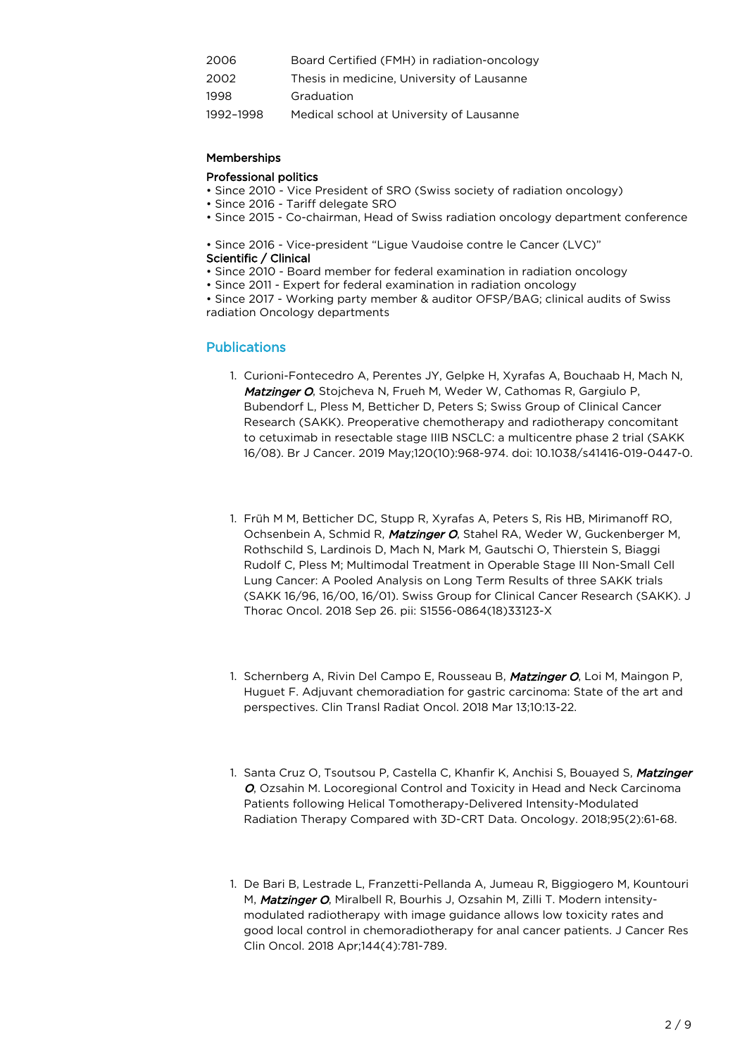| 2006      | Board Certified (FMH) in radiation-oncology |
|-----------|---------------------------------------------|
| 2002      | Thesis in medicine, University of Lausanne  |
| 1998      | Graduation                                  |
| 1992-1998 | Medical school at University of Lausanne    |

#### **Memberships**

#### Professional politics

- Since 2010 Vice President of SRO (Swiss society of radiation oncology)
- Since 2016 Tariff delegate SRO
- Since 2015 Co-chairman, Head of Swiss radiation oncology department conference

• Since 2016 - Vice-president "Ligue Vaudoise contre le Cancer (LVC)"

- Scientific / Clinical
- Since 2010 Board member for federal examination in radiation oncology
- Since 2011 Expert for federal examination in radiation oncology

• Since 2017 - Working party member & auditor OFSP/BAG; clinical audits of Swiss radiation Oncology departments

#### Publications

- 1. Curioni-Fontecedro A, Perentes JY, Gelpke H, Xyrafas A, Bouchaab H, Mach N, Matzinger O, Stojcheva N, Frueh M, Weder W, Cathomas R, Gargiulo P, Bubendorf L, Pless M, Betticher D, Peters S; Swiss Group of Clinical Cancer Research (SAKK). Preoperative chemotherapy and radiotherapy concomitant to cetuximab in resectable stage IIIB NSCLC: a multicentre phase 2 trial (SAKK 16/08). Br J Cancer. 2019 May;120(10):968-974. doi: 10.1038/s41416-019-0447-0.
- 1. Früh M M, Betticher DC, Stupp R, Xyrafas A, Peters S, Ris HB, Mirimanoff RO, Ochsenbein A, Schmid R, Matzinger O, Stahel RA, Weder W, Guckenberger M, Rothschild S, Lardinois D, Mach N, Mark M, Gautschi O, Thierstein S, Biaggi Rudolf C, Pless M; Multimodal Treatment in Operable Stage III Non-Small Cell Lung Cancer: A Pooled Analysis on Long Term Results of three SAKK trials (SAKK 16/96, 16/00, 16/01). Swiss Group for Clinical Cancer Research (SAKK). J Thorac Oncol. 2018 Sep 26. pii: S1556-0864(18)33123-X
- 1. Schernberg A, Rivin Del Campo E, Rousseau B, Matzinger O, Loi M, Maingon P, Huguet F. Adjuvant chemoradiation for gastric carcinoma: State of the art and perspectives. Clin Transl Radiat Oncol. 2018 Mar 13;10:13-22.
- 1. Santa Cruz O, Tsoutsou P, Castella C, Khanfir K, Anchisi S, Bouayed S, Matzinger O, Ozsahin M. Locoregional Control and Toxicity in Head and Neck Carcinoma Patients following Helical Tomotherapy-Delivered Intensity-Modulated Radiation Therapy Compared with 3D-CRT Data. Oncology. 2018;95(2):61-68.
- 1. De Bari B, Lestrade L, Franzetti-Pellanda A, Jumeau R, Biggiogero M, Kountouri M, **Matzinger O**, Miralbell R, Bourhis J, Ozsahin M, Zilli T. Modern intensitymodulated radiotherapy with image guidance allows low toxicity rates and good local control in chemoradiotherapy for anal cancer patients. J Cancer Res Clin Oncol. 2018 Apr;144(4):781-789.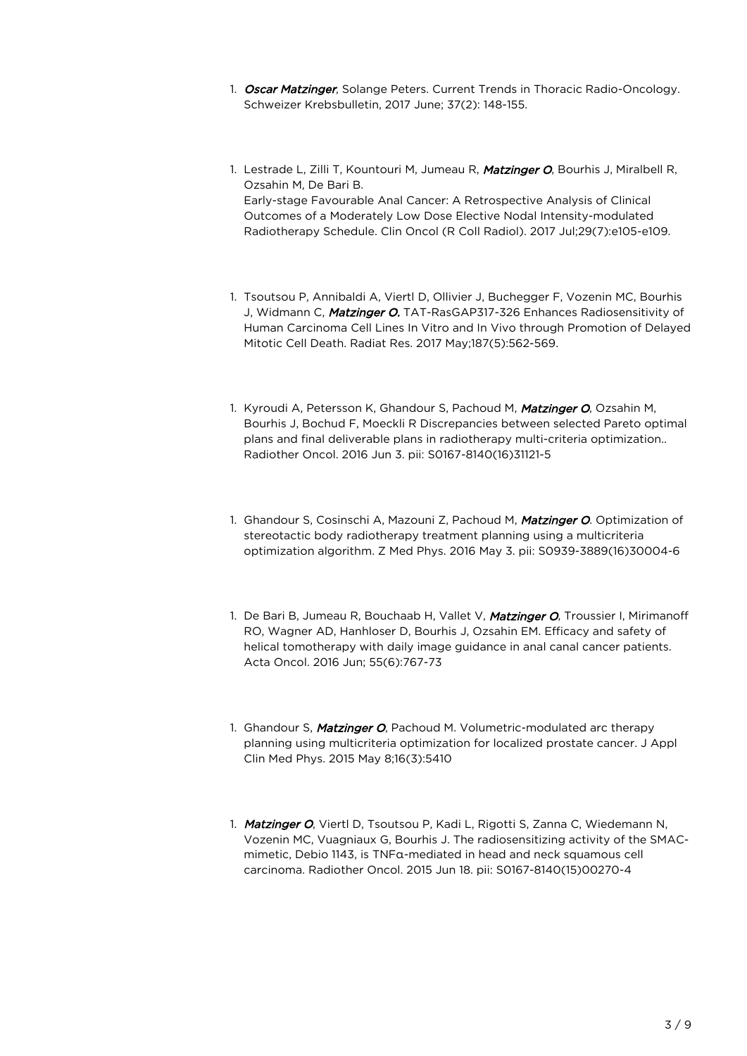- 1. Oscar Matzinger, Solange Peters. Current Trends in Thoracic Radio-Oncology. Schweizer Krebsbulletin, 2017 June; 37(2): 148-155.
- 1. Lestrade L, Zilli T, Kountouri M, Jumeau R, Matzinger O, Bourhis J, Miralbell R, Ozsahin M, De Bari B. Early-stage Favourable Anal Cancer: A Retrospective Analysis of Clinical Outcomes of a Moderately Low Dose Elective Nodal Intensity-modulated Radiotherapy Schedule. Clin Oncol (R Coll Radiol). 2017 Jul;29(7):e105-e109.
- 1. Tsoutsou P, Annibaldi A, Viertl D, Ollivier J, Buchegger F, Vozenin MC, Bourhis J, Widmann C, Matzinger O. TAT-RasGAP317-326 Enhances Radiosensitivity of Human Carcinoma Cell Lines In Vitro and In Vivo through Promotion of Delayed Mitotic Cell Death. Radiat Res. 2017 May;187(5):562-569.
- 1. Kyroudi A, Petersson K, Ghandour S, Pachoud M, Matzinger O, Ozsahin M, Bourhis J, Bochud F, Moeckli R Discrepancies between selected Pareto optimal plans and final deliverable plans in radiotherapy multi-criteria optimization.. Radiother Oncol. 2016 Jun 3. pii: S0167-8140(16)31121-5
- 1. Ghandour S, Cosinschi A, Mazouni Z, Pachoud M, Matzinger O. Optimization of stereotactic body radiotherapy treatment planning using a multicriteria optimization algorithm. Z Med Phys. 2016 May 3. pii: S0939-3889(16)30004-6
- 1. De Bari B, Jumeau R, Bouchaab H, Vallet V, Matzinger O, Troussier I, Mirimanoff RO, Wagner AD, Hanhloser D, Bourhis J, Ozsahin EM. Efficacy and safety of helical tomotherapy with daily image guidance in anal canal cancer patients. Acta Oncol. 2016 Jun; 55(6):767-73
- 1. Ghandour S, Matzinger O, Pachoud M. Volumetric-modulated arc therapy planning using multicriteria optimization for localized prostate cancer. J Appl Clin Med Phys. 2015 May 8;16(3):5410
- 1. Matzinger O, Viertl D, Tsoutsou P, Kadi L, Rigotti S, Zanna C, Wiedemann N, Vozenin MC, Vuagniaux G, Bourhis J. The radiosensitizing activity of the SMACmimetic, Debio 1143, is TNFα-mediated in head and neck squamous cell carcinoma. Radiother Oncol. 2015 Jun 18. pii: S0167-8140(15)00270-4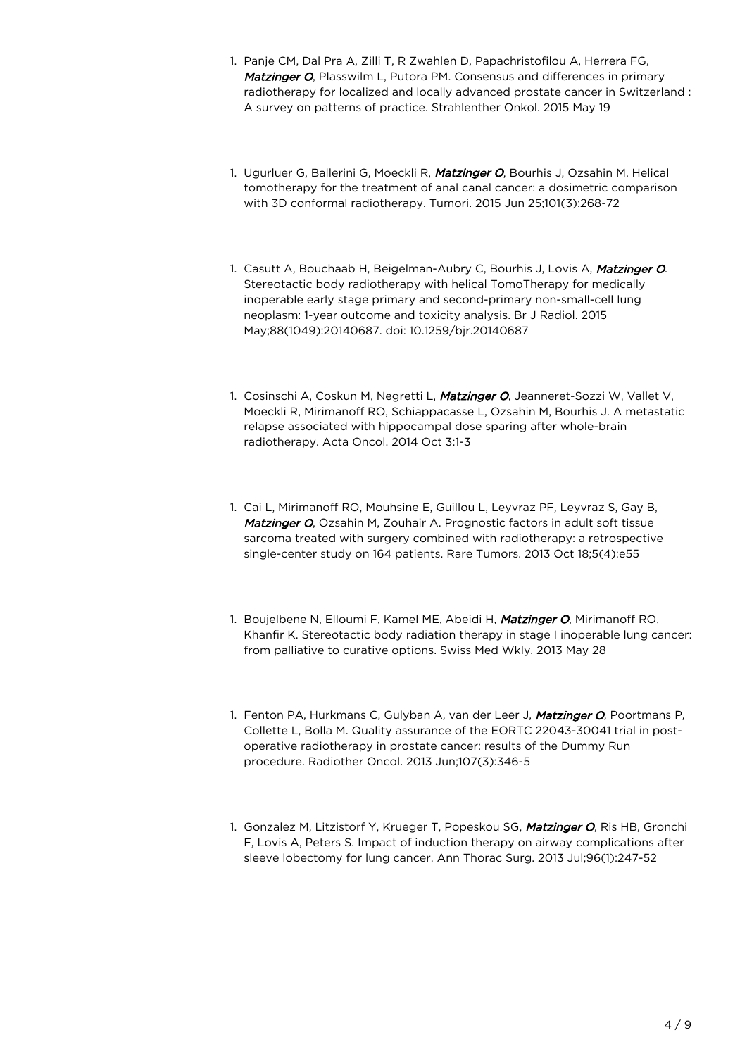- 1. Panje CM, Dal Pra A, Zilli T, R Zwahlen D, Papachristofilou A, Herrera FG, Matzinger O, Plasswilm L, Putora PM. Consensus and differences in primary radiotherapy for localized and locally advanced prostate cancer in Switzerland : A survey on patterns of practice. Strahlenther Onkol. 2015 May 19
- 1. Ugurluer G, Ballerini G, Moeckli R, Matzinger O, Bourhis J, Ozsahin M. Helical tomotherapy for the treatment of anal canal cancer: a dosimetric comparison with 3D conformal radiotherapy. Tumori. 2015 Jun 25;101(3):268-72
- 1. Casutt A, Bouchaab H, Beigelman-Aubry C, Bourhis J, Lovis A, Matzinger O. Stereotactic body radiotherapy with helical TomoTherapy for medically inoperable early stage primary and second-primary non-small-cell lung neoplasm: 1-year outcome and toxicity analysis. Br J Radiol. 2015 May;88(1049):20140687. doi: 10.1259/bjr.20140687
- 1. Cosinschi A, Coskun M, Negretti L, Matzinger O, Jeanneret-Sozzi W, Vallet V, Moeckli R, Mirimanoff RO, Schiappacasse L, Ozsahin M, Bourhis J. A metastatic relapse associated with hippocampal dose sparing after whole-brain radiotherapy. Acta Oncol. 2014 Oct 3:1-3
- 1. Cai L, Mirimanoff RO, Mouhsine E, Guillou L, Leyvraz PF, Leyvraz S, Gay B, Matzinger O, Ozsahin M, Zouhair A. Prognostic factors in adult soft tissue sarcoma treated with surgery combined with radiotherapy: a retrospective single-center study on 164 patients. Rare Tumors. 2013 Oct 18;5(4):e55
- 1. Boujelbene N, Elloumi F, Kamel ME, Abeidi H, Matzinger O, Mirimanoff RO, Khanfir K. Stereotactic body radiation therapy in stage I inoperable lung cancer: from palliative to curative options. Swiss Med Wkly. 2013 May 28
- 1. Fenton PA, Hurkmans C, Gulyban A, van der Leer J, Matzinger O, Poortmans P, Collette L, Bolla M. Quality assurance of the EORTC 22043-30041 trial in postoperative radiotherapy in prostate cancer: results of the Dummy Run procedure. Radiother Oncol. 2013 Jun;107(3):346-5
- 1. Gonzalez M, Litzistorf Y, Krueger T, Popeskou SG, Matzinger O, Ris HB, Gronchi F, Lovis A, Peters S. Impact of induction therapy on airway complications after sleeve lobectomy for lung cancer. Ann Thorac Surg. 2013 Jul;96(1):247-52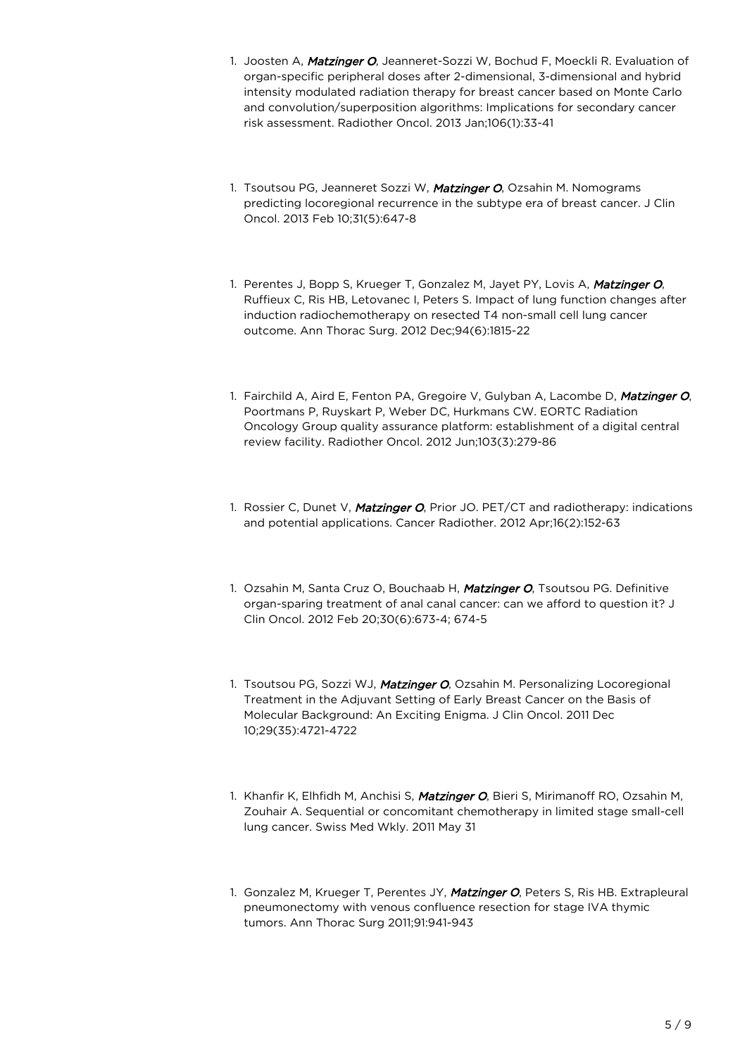- 1. Joosten A, Matzinger O, Jeanneret-Sozzi W, Bochud F, Moeckli R. Evaluation of organ-specific peripheral doses after 2-dimensional, 3-dimensional and hybrid intensity modulated radiation therapy for breast cancer based on Monte Carlo and convolution/superposition algorithms: Implications for secondary cancer risk assessment. Radiother Oncol. 2013 Jan;106(1):33-41
- 1. Tsoutsou PG, Jeanneret Sozzi W, Matzinger O, Ozsahin M. Nomograms predicting locoregional recurrence in the subtype era of breast cancer. J Clin Oncol. 2013 Feb 10;31(5):647-8
- 1. Perentes J, Bopp S, Krueger T, Gonzalez M, Jayet PY, Lovis A, Matzinger O, Ruffieux C, Ris HB, Letovanec I, Peters S. Impact of lung function changes after induction radiochemotherapy on resected T4 non-small cell lung cancer outcome. Ann Thorac Surg. 2012 Dec;94(6):1815-22
- 1. Fairchild A, Aird E, Fenton PA, Gregoire V, Gulyban A, Lacombe D, Matzinger O, Poortmans P, Ruyskart P, Weber DC, Hurkmans CW. EORTC Radiation Oncology Group quality assurance platform: establishment of a digital central review facility. Radiother Oncol. 2012 Jun;103(3):279-86
- 1. Rossier C, Dunet V, Matzinger O, Prior JO. PET/CT and radiotherapy: indications and potential applications. Cancer Radiother. 2012 Apr;16(2):152-63
- 1. Ozsahin M, Santa Cruz O, Bouchaab H, Matzinger O, Tsoutsou PG. Definitive organ-sparing treatment of anal canal cancer: can we afford to question it? J Clin Oncol. 2012 Feb 20;30(6):673-4; 674-5
- 1. Tsoutsou PG, Sozzi WJ, Matzinger O, Ozsahin M. Personalizing Locoregional Treatment in the Adjuvant Setting of Early Breast Cancer on the Basis of Molecular Background: An Exciting Enigma. J Clin Oncol. 2011 Dec 10;29(35):4721-4722
- 1. Khanfir K, Elhfidh M, Anchisi S, Matzinger O, Bieri S, Mirimanoff RO, Ozsahin M, Zouhair A. Sequential or concomitant chemotherapy in limited stage small-cell lung cancer. Swiss Med Wkly. 2011 May 31
- 1. Gonzalez M, Krueger T, Perentes JY, Matzinger O, Peters S, Ris HB. Extrapleural pneumonectomy with venous confluence resection for stage IVA thymic tumors. Ann Thorac Surg 2011;91:941-943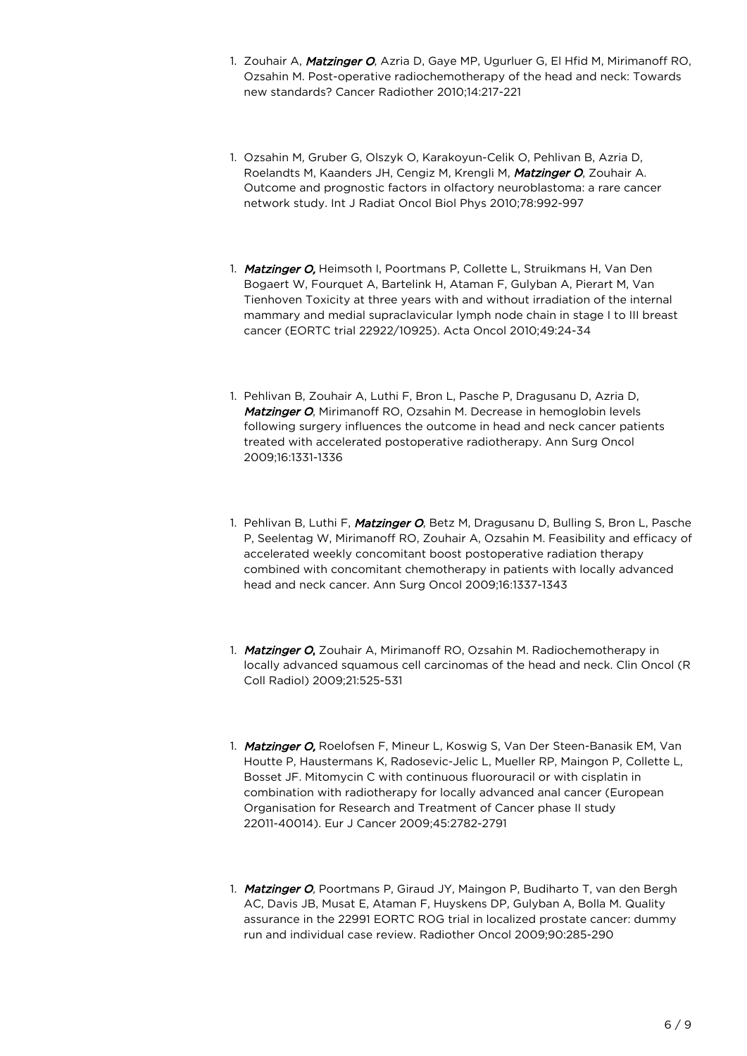- 1. Zouhair A, Matzinger O, Azria D, Gaye MP, Ugurluer G, El Hfid M, Mirimanoff RO, Ozsahin M. Post-operative radiochemotherapy of the head and neck: Towards new standards? Cancer Radiother 2010;14:217-221
- 1. Ozsahin M, Gruber G, Olszyk O, Karakoyun-Celik O, Pehlivan B, Azria D, Roelandts M, Kaanders JH, Cengiz M, Krengli M, Matzinger O, Zouhair A. Outcome and prognostic factors in olfactory neuroblastoma: a rare cancer network study. Int J Radiat Oncol Biol Phys 2010;78:992-997
- 1. Matzinger O, Heimsoth I, Poortmans P, Collette L, Struikmans H, Van Den Bogaert W, Fourquet A, Bartelink H, Ataman F, Gulyban A, Pierart M, Van Tienhoven Toxicity at three years with and without irradiation of the internal mammary and medial supraclavicular lymph node chain in stage I to III breast cancer (EORTC trial 22922/10925). Acta Oncol 2010;49:24-34
- 1. Pehlivan B, Zouhair A, Luthi F, Bron L, Pasche P, Dragusanu D, Azria D, Matzinger O, Mirimanoff RO, Ozsahin M. Decrease in hemoglobin levels following surgery influences the outcome in head and neck cancer patients treated with accelerated postoperative radiotherapy. Ann Surg Oncol 2009;16:1331-1336
- 1. Pehlivan B, Luthi F, Matzinger O, Betz M, Dragusanu D, Bulling S, Bron L, Pasche P, Seelentag W, Mirimanoff RO, Zouhair A, Ozsahin M. Feasibility and efficacy of accelerated weekly concomitant boost postoperative radiation therapy combined with concomitant chemotherapy in patients with locally advanced head and neck cancer. Ann Surg Oncol 2009;16:1337-1343
- 1. Matzinger O, Zouhair A, Mirimanoff RO, Ozsahin M. Radiochemotherapy in locally advanced squamous cell carcinomas of the head and neck. Clin Oncol (R Coll Radiol) 2009;21:525-531
- 1. Matzinger O, Roelofsen F, Mineur L, Koswig S, Van Der Steen-Banasik EM, Van Houtte P, Haustermans K, Radosevic-Jelic L, Mueller RP, Maingon P, Collette L, Bosset JF. Mitomycin C with continuous fluorouracil or with cisplatin in combination with radiotherapy for locally advanced anal cancer (European Organisation for Research and Treatment of Cancer phase II study 22011-40014). Eur J Cancer 2009;45:2782-2791
- 1. Matzinger O, Poortmans P, Giraud JY, Maingon P, Budiharto T, van den Bergh AC, Davis JB, Musat E, Ataman F, Huyskens DP, Gulyban A, Bolla M. Quality assurance in the 22991 EORTC ROG trial in localized prostate cancer: dummy run and individual case review. Radiother Oncol 2009;90:285-290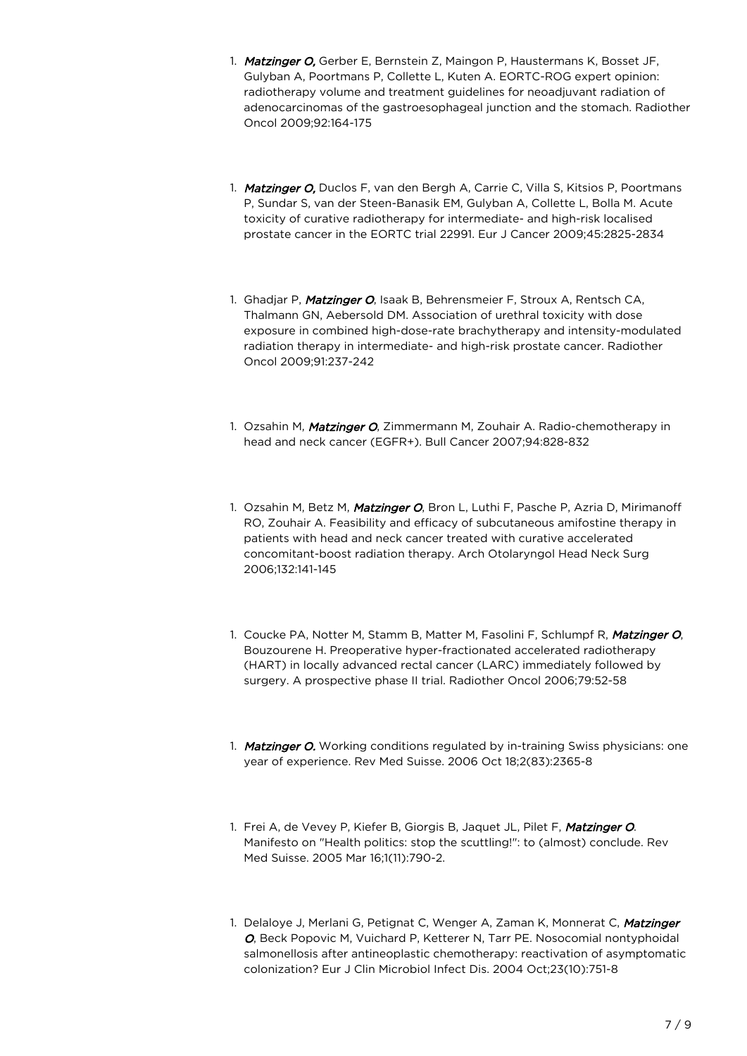- 1. Matzinger O, Gerber E, Bernstein Z, Maingon P, Haustermans K, Bosset JF, Gulyban A, Poortmans P, Collette L, Kuten A. EORTC-ROG expert opinion: radiotherapy volume and treatment guidelines for neoadjuvant radiation of adenocarcinomas of the gastroesophageal junction and the stomach. Radiother Oncol 2009;92:164-175
- 1. Matzinger O, Duclos F, van den Bergh A, Carrie C, Villa S, Kitsios P, Poortmans P, Sundar S, van der Steen-Banasik EM, Gulyban A, Collette L, Bolla M. Acute toxicity of curative radiotherapy for intermediate- and high-risk localised prostate cancer in the EORTC trial 22991. Eur J Cancer 2009;45:2825-2834
- 1. Ghadjar P, Matzinger O, Isaak B, Behrensmeier F, Stroux A, Rentsch CA, Thalmann GN, Aebersold DM. Association of urethral toxicity with dose exposure in combined high-dose-rate brachytherapy and intensity-modulated radiation therapy in intermediate- and high-risk prostate cancer. Radiother Oncol 2009;91:237-242
- 1. Ozsahin M, Matzinger O, Zimmermann M, Zouhair A. Radio-chemotherapy in head and neck cancer (EGFR+). Bull Cancer 2007;94:828-832
- 1. Ozsahin M, Betz M, Matzinger O, Bron L, Luthi F, Pasche P, Azria D, Mirimanoff RO, Zouhair A. Feasibility and efficacy of subcutaneous amifostine therapy in patients with head and neck cancer treated with curative accelerated concomitant-boost radiation therapy. Arch Otolaryngol Head Neck Surg 2006;132:141-145
- 1. Coucke PA, Notter M, Stamm B, Matter M, Fasolini F, Schlumpf R, Matzinger O, Bouzourene H. Preoperative hyper-fractionated accelerated radiotherapy (HART) in locally advanced rectal cancer (LARC) immediately followed by surgery. A prospective phase II trial. Radiother Oncol 2006;79:52-58
- 1. Matzinger O. Working conditions regulated by in-training Swiss physicians: one year of experience. Rev Med Suisse. 2006 Oct 18;2(83):2365-8
- 1. Frei A, de Vevey P, Kiefer B, Giorgis B, Jaquet JL, Pilet F, Matzinger O. Manifesto on "Health politics: stop the scuttling!": to (almost) conclude. Rev Med Suisse. 2005 Mar 16;1(11):790-2.
- 1. Delaloye J, Merlani G, Petignat C, Wenger A, Zaman K, Monnerat C, Matzinger O, Beck Popovic M, Vuichard P, Ketterer N, Tarr PE. Nosocomial nontyphoidal salmonellosis after antineoplastic chemotherapy: reactivation of asymptomatic colonization? Eur J Clin Microbiol Infect Dis. 2004 Oct;23(10):751-8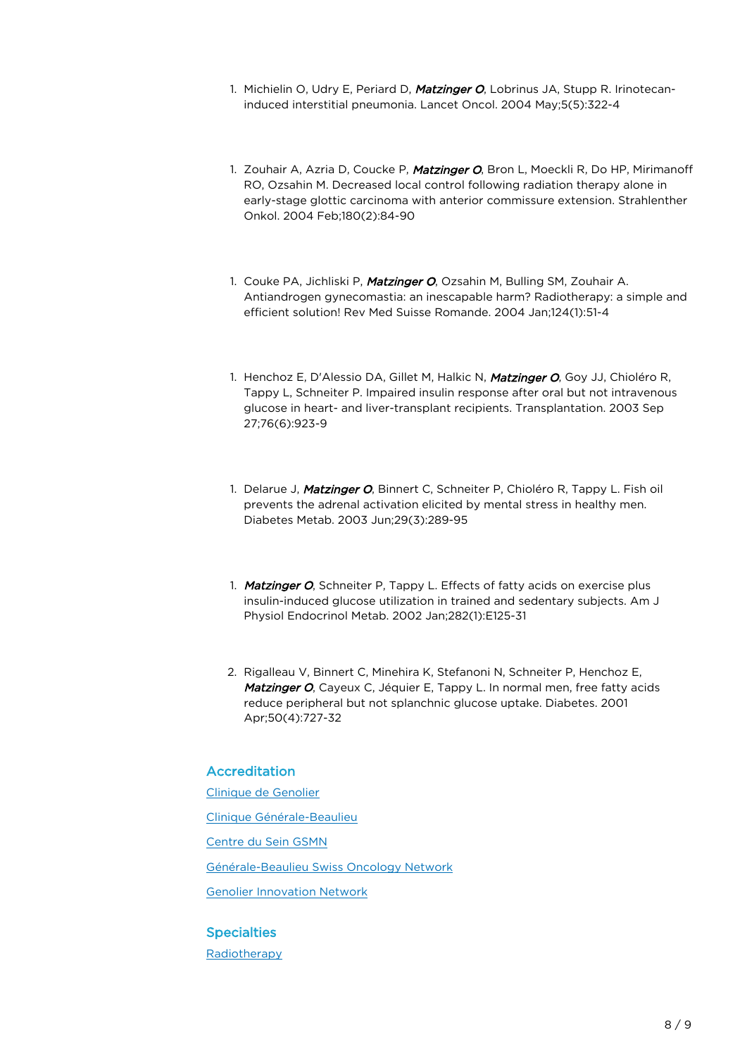- 1. Michielin O, Udry E, Periard D, Matzinger O, Lobrinus JA, Stupp R. Irinotecaninduced interstitial pneumonia. Lancet Oncol. 2004 May;5(5):322-4
- 1. Zouhair A, Azria D, Coucke P, Matzinger O, Bron L, Moeckli R, Do HP, Mirimanoff RO, Ozsahin M. Decreased local control following radiation therapy alone in early-stage glottic carcinoma with anterior commissure extension. Strahlenther Onkol. 2004 Feb;180(2):84-90
- 1. Couke PA, Jichliski P, Matzinger O, Ozsahin M, Bulling SM, Zouhair A. Antiandrogen gynecomastia: an inescapable harm? Radiotherapy: a simple and efficient solution! Rev Med Suisse Romande. 2004 Jan;124(1):51-4
- 1. Henchoz E, D'Alessio DA, Gillet M, Halkic N, Matzinger O, Goy JJ, Chioléro R, Tappy L, Schneiter P. Impaired insulin response after oral but not intravenous glucose in heart- and liver-transplant recipients. Transplantation. 2003 Sep 27;76(6):923-9
- 1. Delarue J, Matzinger O, Binnert C, Schneiter P, Chioléro R, Tappy L, Fish oil prevents the adrenal activation elicited by mental stress in healthy men. Diabetes Metab. 2003 Jun;29(3):289-95
- 1. Matzinger O, Schneiter P, Tappy L. Effects of fatty acids on exercise plus insulin-induced glucose utilization in trained and sedentary subjects. Am J Physiol Endocrinol Metab. 2002 Jan;282(1):E125-31
- 2. Rigalleau V, Binnert C, Minehira K, Stefanoni N, Schneiter P, Henchoz E, Matzinger O, Cayeux C, Jéquier E, Tappy L. In normal men, free fatty acids reduce peripheral but not splanchnic glucose uptake. Diabetes. 2001 Apr;50(4):727-32

## Accreditation

[Clinique de Genolier](https://www.genolier.net)

[Clinique Générale-Beaulieu](https://www.beaulieu.ch/en)

[Centre du Sein GSMN](https://www.centre-du-sein.ch/en/)

Générale-Beaulieu Swiss Oncology Network

[Genolier Innovation Network](https://www.genolier.net/www.genolier-innovation.net)

#### **Specialties**

[Radiotherapy](https://www.genolier.net/en/our-specialties/radio-oncologie-radiotherapie)